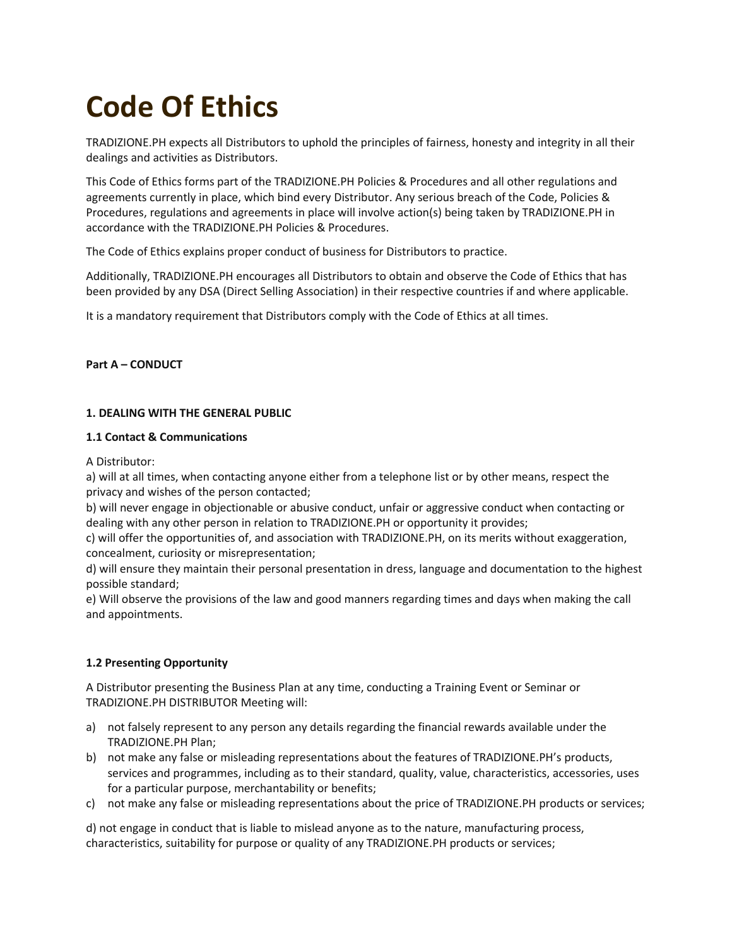# **Code Of Ethics**

TRADIZIONE.PH expects all Distributors to uphold the principles of fairness, honesty and integrity in all their dealings and activities as Distributors.

This Code of Ethics forms part of the TRADIZIONE.PH Policies & Procedures and all other regulations and agreements currently in place, which bind every Distributor. Any serious breach of the Code, Policies & Procedures, regulations and agreements in place will involve action(s) being taken by TRADIZIONE.PH in accordance with the TRADIZIONE.PH Policies & Procedures.

The Code of Ethics explains proper conduct of business for Distributors to practice.

Additionally, TRADIZIONE.PH encourages all Distributors to obtain and observe the Code of Ethics that has been provided by any DSA (Direct Selling Association) in their respective countries if and where applicable.

It is a mandatory requirement that Distributors comply with the Code of Ethics at all times.

# **Part A – CONDUCT**

# **1. DEALING WITH THE GENERAL PUBLIC**

## **1.1 Contact & Communications**

A Distributor:

a) will at all times, when contacting anyone either from a telephone list or by other means, respect the privacy and wishes of the person contacted;

b) will never engage in objectionable or abusive conduct, unfair or aggressive conduct when contacting or dealing with any other person in relation to TRADIZIONE.PH or opportunity it provides;

c) will offer the opportunities of, and association with TRADIZIONE.PH, on its merits without exaggeration, concealment, curiosity or misrepresentation;

d) will ensure they maintain their personal presentation in dress, language and documentation to the highest possible standard;

e) Will observe the provisions of the law and good manners regarding times and days when making the call and appointments.

# **1.2 Presenting Opportunity**

A Distributor presenting the Business Plan at any time, conducting a Training Event or Seminar or TRADIZIONE.PH DISTRIBUTOR Meeting will:

- a) not falsely represent to any person any details regarding the financial rewards available under the TRADIZIONE.PH Plan;
- b) not make any false or misleading representations about the features of TRADIZIONE.PH's products, services and programmes, including as to their standard, quality, value, characteristics, accessories, uses for a particular purpose, merchantability or benefits;
- c) not make any false or misleading representations about the price of TRADIZIONE.PH products or services;

d) not engage in conduct that is liable to mislead anyone as to the nature, manufacturing process, characteristics, suitability for purpose or quality of any TRADIZIONE.PH products or services;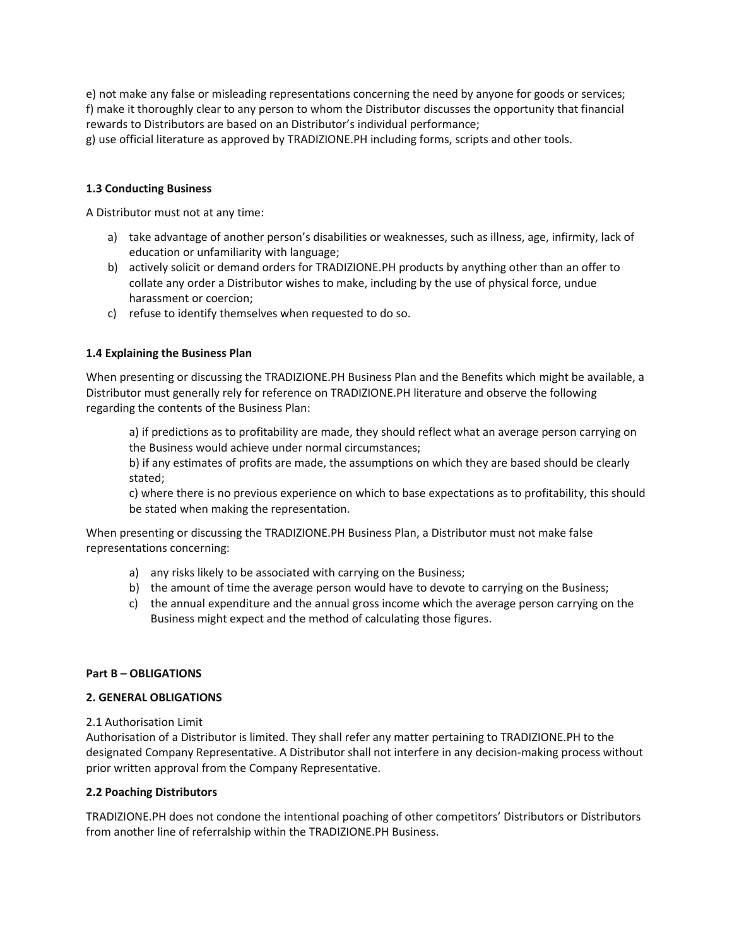e) not make any false or misleading representations concerning the need by anyone for goods or services; f) make it thoroughly clear to any person to whom the Distributor discusses the opportunity that financial rewards to Distributors are based on an Distributor's individual performance;

g) use official literature as approved by TRADIZIONE.PH including forms, scripts and other tools.

## **1.3 Conducting Business**

A Distributor must not at any time:

- a) take advantage of another person's disabilities or weaknesses, such as illness, age, infirmity, lack of education or unfamiliarity with language;
- b) actively solicit or demand orders for TRADIZIONE.PH products by anything other than an offer to collate any order a Distributor wishes to make, including by the use of physical force, undue harassment or coercion;
- c) refuse to identify themselves when requested to do so.

#### **1.4 Explaining the Business Plan**

When presenting or discussing the TRADIZIONE.PH Business Plan and the Benefits which might be available, a Distributor must generally rely for reference on TRADIZIONE.PH literature and observe the following regarding the contents of the Business Plan:

a) if predictions as to profitability are made, they should reflect what an average person carrying on the Business would achieve under normal circumstances;

b) if any estimates of profits are made, the assumptions on which they are based should be clearly stated;

c) where there is no previous experience on which to base expectations as to profitability, this should be stated when making the representation.

When presenting or discussing the TRADIZIONE.PH Business Plan, a Distributor must not make false representations concerning:

- a) any risks likely to be associated with carrying on the Business;
- b) the amount of time the average person would have to devote to carrying on the Business;
- c) the annual expenditure and the annual gross income which the average person carrying on the Business might expect and the method of calculating those figures.

#### **Part B – OBLIGATIONS**

#### **2. GENERAL OBLIGATIONS**

2.1 Authorisation Limit

Authorisation of a Distributor is limited. They shall refer any matter pertaining to TRADIZIONE.PH to the designated Company Representative. A Distributor shall not interfere in any decision-making process without prior written approval from the Company Representative.

#### **2.2 Poaching Distributors**

TRADIZIONE.PH does not condone the intentional poaching of other competitors' Distributors or Distributors from another line of referralship within the TRADIZIONE.PH Business.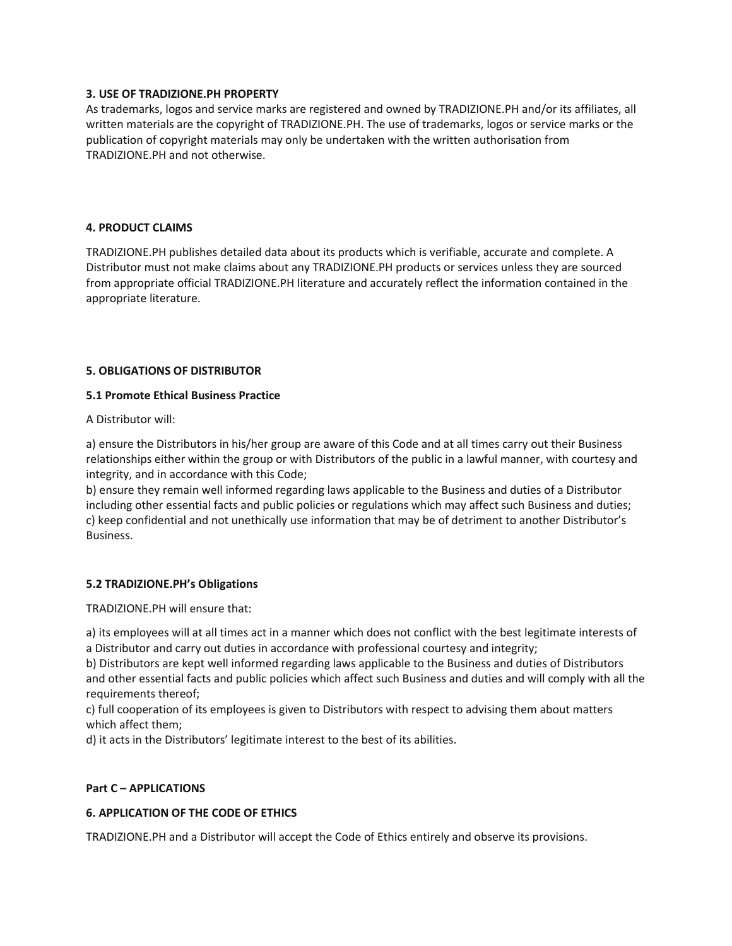## **3. USE OF TRADIZIONE.PH PROPERTY**

As trademarks, logos and service marks are registered and owned by TRADIZIONE.PH and/or its affiliates, all written materials are the copyright of TRADIZIONE.PH. The use of trademarks, logos or service marks or the publication of copyright materials may only be undertaken with the written authorisation from TRADIZIONE.PH and not otherwise.

## **4. PRODUCT CLAIMS**

TRADIZIONE.PH publishes detailed data about its products which is verifiable, accurate and complete. A Distributor must not make claims about any TRADIZIONE.PH products or services unless they are sourced from appropriate official TRADIZIONE.PH literature and accurately reflect the information contained in the appropriate literature.

# **5. OBLIGATIONS OF DISTRIBUTOR**

#### **5.1 Promote Ethical Business Practice**

A Distributor will:

a) ensure the Distributors in his/her group are aware of this Code and at all times carry out their Business relationships either within the group or with Distributors of the public in a lawful manner, with courtesy and integrity, and in accordance with this Code;

b) ensure they remain well informed regarding laws applicable to the Business and duties of a Distributor including other essential facts and public policies or regulations which may affect such Business and duties; c) keep confidential and not unethically use information that may be of detriment to another Distributor's Business.

# **5.2 TRADIZIONE.PH's Obligations**

TRADIZIONE.PH will ensure that:

a) its employees will at all times act in a manner which does not conflict with the best legitimate interests of a Distributor and carry out duties in accordance with professional courtesy and integrity;

b) Distributors are kept well informed regarding laws applicable to the Business and duties of Distributors and other essential facts and public policies which affect such Business and duties and will comply with all the requirements thereof;

c) full cooperation of its employees is given to Distributors with respect to advising them about matters which affect them;

d) it acts in the Distributors' legitimate interest to the best of its abilities.

#### **Part C – APPLICATIONS**

# **6. APPLICATION OF THE CODE OF ETHICS**

TRADIZIONE.PH and a Distributor will accept the Code of Ethics entirely and observe its provisions.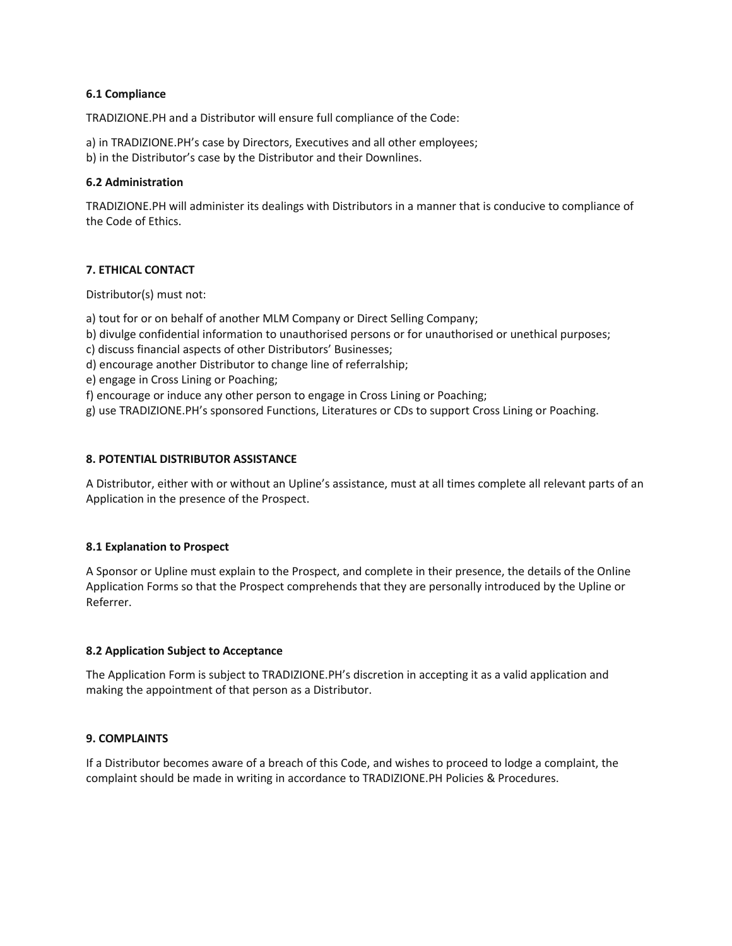## **6.1 Compliance**

TRADIZIONE.PH and a Distributor will ensure full compliance of the Code:

a) in TRADIZIONE.PH's case by Directors, Executives and all other employees; b) in the Distributor's case by the Distributor and their Downlines.

## **6.2 Administration**

TRADIZIONE.PH will administer its dealings with Distributors in a manner that is conducive to compliance of the Code of Ethics.

# **7. ETHICAL CONTACT**

Distributor(s) must not:

a) tout for or on behalf of another MLM Company or Direct Selling Company;

- b) divulge confidential information to unauthorised persons or for unauthorised or unethical purposes;
- c) discuss financial aspects of other Distributors' Businesses;
- d) encourage another Distributor to change line of referralship;
- e) engage in Cross Lining or Poaching;
- f) encourage or induce any other person to engage in Cross Lining or Poaching;

g) use TRADIZIONE.PH's sponsored Functions, Literatures or CDs to support Cross Lining or Poaching.

## **8. POTENTIAL DISTRIBUTOR ASSISTANCE**

A Distributor, either with or without an Upline's assistance, must at all times complete all relevant parts of an Application in the presence of the Prospect.

#### **8.1 Explanation to Prospect**

A Sponsor or Upline must explain to the Prospect, and complete in their presence, the details of the Online Application Forms so that the Prospect comprehends that they are personally introduced by the Upline or Referrer.

#### **8.2 Application Subject to Acceptance**

The Application Form is subject to TRADIZIONE.PH's discretion in accepting it as a valid application and making the appointment of that person as a Distributor.

# **9. COMPLAINTS**

If a Distributor becomes aware of a breach of this Code, and wishes to proceed to lodge a complaint, the complaint should be made in writing in accordance to TRADIZIONE.PH Policies & Procedures.